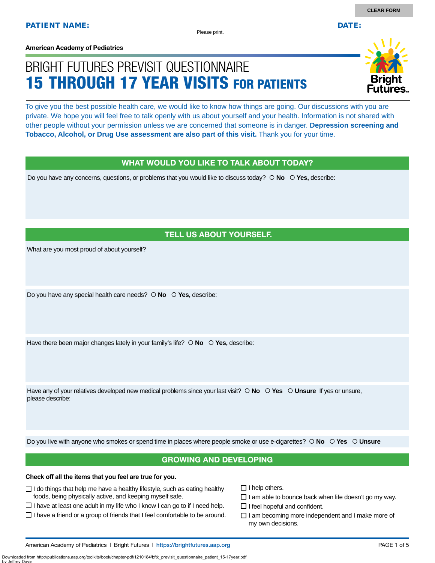Please print.

**American Academy of Pediatrics**

# BRIGHT FUTURES PREVISIT QUESTIONNAIRE 15 THROUGH 17 YEAR VISITS FOR PATIENTS

To give you the best possible health care, we would like to know how things are going. Our discussions with you are private. We hope you will feel free to talk openly with us about yourself and your health. Information is not shared with other people without your permission unless we are concerned that someone is in danger. **Depression screening and Tobacco, Alcohol, or Drug Use assessment are also part of this visit.** Thank you for your time.

### WHAT WOULD YOU LIKE TO TALK ABOUT TODAY?

Do you have any concerns, questions, or problems that you would like to discuss today?  $\circ$  **No**  $\circ$  **Yes**, describe:

### TELL US ABOUT YOURSELF.

What are you most proud of about yourself?

Do you have any special health care needs?  **No Yes,** describe:

Have there been major changes lately in your family's life?  $\circ$  **No**  $\circ$  **Yes**, describe:

Have any of your relatives developed new medical problems since your last visit?  $\circ$  **No**  $\circ$  **Yes**  $\circ$  **Unsure** If yes or unsure, please describe:

Do you live with anyone who smokes or spend time in places where people smoke or use e-cigarettes?  **No Yes Unsure**

### GROWING AND DEVELOPING

### **Check off all the items that you feel are true for you.**

- $\Box$  I do things that help me have a healthy lifestyle, such as eating healthy foods, being physically active, and keeping myself safe.
- $\Box$  I have at least one adult in my life who I know I can go to if I need help.
- $\square$  I have a friend or a group of friends that I feel comfortable to be around.
- $\Box$  I help others.
- $\Box$  I am able to bounce back when life doesn't go my way.
- $\Box$  I feel hopeful and confident.
- $\Box$  I am becoming more independent and I make more of my own decisions.

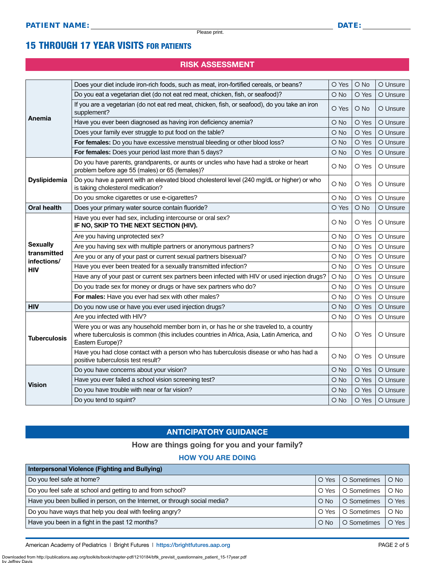### 15 THROUGH 17 YEAR VISITS FOR PATIENTS

### RISK ASSESSMENT

|                                                                            | Does your diet include iron-rich foods, such as meat, iron-fortified cereals, or beans?                                                                                                                | O Yes  | O No  | O Unsure |
|----------------------------------------------------------------------------|--------------------------------------------------------------------------------------------------------------------------------------------------------------------------------------------------------|--------|-------|----------|
|                                                                            | Do you eat a vegetarian diet (do not eat red meat, chicken, fish, or seafood)?                                                                                                                         | O No   | O Yes | O Unsure |
|                                                                            | If you are a vegetarian (do not eat red meat, chicken, fish, or seafood), do you take an iron<br>supplement?                                                                                           | O Yes  | O No  | O Unsure |
| Anemia                                                                     | Have you ever been diagnosed as having iron deficiency anemia?                                                                                                                                         | $O$ No | O Yes | O Unsure |
|                                                                            | Does your family ever struggle to put food on the table?                                                                                                                                               | O No   | O Yes | O Unsure |
| For females: Do you have excessive menstrual bleeding or other blood loss? |                                                                                                                                                                                                        | O No   | O Yes | O Unsure |
|                                                                            | For females: Does your period last more than 5 days?                                                                                                                                                   | O No   | O Yes | O Unsure |
|                                                                            | Do you have parents, grandparents, or aunts or uncles who have had a stroke or heart<br>problem before age 55 (males) or 65 (females)?                                                                 | O No   | O Yes | O Unsure |
| <b>Dyslipidemia</b>                                                        | Do you have a parent with an elevated blood cholesterol level (240 mg/dL or higher) or who<br>is taking cholesterol medication?                                                                        | O No   | O Yes | O Unsure |
|                                                                            | Do you smoke cigarettes or use e-cigarettes?                                                                                                                                                           | O No   | O Yes | O Unsure |
| <b>Oral health</b>                                                         | Does your primary water source contain fluoride?                                                                                                                                                       | O Yes  | O No  | O Unsure |
|                                                                            | Have you ever had sex, including intercourse or oral sex?<br>IF NO, SKIP TO THE NEXT SECTION (HIV).                                                                                                    | O No   | O Yes | O Unsure |
|                                                                            | Are you having unprotected sex?                                                                                                                                                                        | O No   | O Yes | O Unsure |
| <b>Sexually</b>                                                            | Are you having sex with multiple partners or anonymous partners?                                                                                                                                       | O No   | O Yes | O Unsure |
| transmitted                                                                | Are you or any of your past or current sexual partners bisexual?                                                                                                                                       | O No   | O Yes | O Unsure |
| infections/<br><b>HIV</b>                                                  | Have you ever been treated for a sexually transmitted infection?                                                                                                                                       | O No   | O Yes | O Unsure |
|                                                                            | Have any of your past or current sex partners been infected with HIV or used injection drugs?                                                                                                          | O No   | O Yes | O Unsure |
|                                                                            | Do you trade sex for money or drugs or have sex partners who do?                                                                                                                                       | O No   | O Yes | O Unsure |
|                                                                            | For males: Have you ever had sex with other males?                                                                                                                                                     | O No   | O Yes | O Unsure |
| <b>HIV</b>                                                                 | Do you now use or have you ever used injection drugs?                                                                                                                                                  | O No   | O Yes | O Unsure |
|                                                                            | Are you infected with HIV?                                                                                                                                                                             | O No   | O Yes | O Unsure |
| <b>Tuberculosis</b>                                                        | Were you or was any household member born in, or has he or she traveled to, a country<br>where tuberculosis is common (this includes countries in Africa, Asia, Latin America, and<br>Eastern Europe)? | O No   | O Yes | O Unsure |
|                                                                            | Have you had close contact with a person who has tuberculosis disease or who has had a<br>positive tuberculosis test result?                                                                           | O No   | O Yes | O Unsure |
|                                                                            | Do you have concerns about your vision?                                                                                                                                                                | O No   | O Yes | O Unsure |
| <b>Vision</b>                                                              | Have you ever failed a school vision screening test?                                                                                                                                                   | O No   | O Yes | O Unsure |
|                                                                            | Do you have trouble with near or far vision?                                                                                                                                                           | O No   | O Yes | O Unsure |
|                                                                            | Do you tend to squint?                                                                                                                                                                                 | O No   | O Yes | O Unsure |

### ANTICIPATORY GUIDANCE

#### How are things going for you and your family?

### HOW YOU ARE DOING

| Interpersonal Violence (Fighting and Bullying)                             |               |             |        |  |
|----------------------------------------------------------------------------|---------------|-------------|--------|--|
| Do you feel safe at home?                                                  | O Yes         | O Sometimes | $O$ No |  |
| Do you feel safe at school and getting to and from school?                 | O Yes         | O Sometimes | $O$ No |  |
| Have you been bullied in person, on the Internet, or through social media? | $\bigcirc$ No | O Sometimes | O Yes  |  |
| Do you have ways that help you deal with feeling angry?                    | O Yes         | O Sometimes | $O$ No |  |
| Have you been in a fight in the past 12 months?                            | $O$ No        | O Sometimes | O Yes  |  |

American Academy of Pediatrics | Bright Futures | https:/[/brightfutures.aap.org](https://brightfutures.aap.org/Pages/default.aspx) **PAGE 2 of 5** PAGE 2 of 5

Downloaded from http://publications.aap.org/toolkits/book/chapter-pdf/1210184/bftk\_previsit\_questionnaire\_patient\_15-17year.pdf by Jeffrey D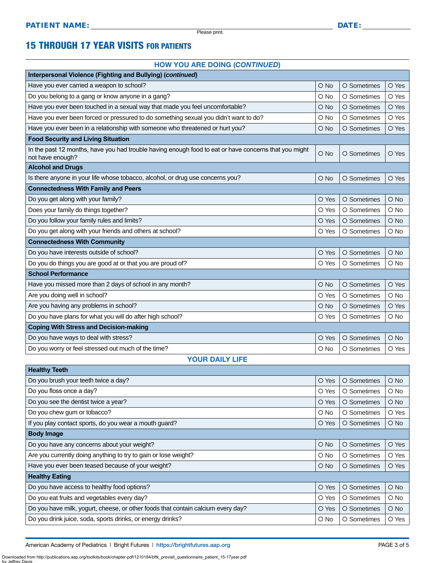Please print.

### 15 THROUGH 17 YEAR VISITS FOR PATIENTS

#### HOW YOU ARE DOING (*CONTINUED*)

| Interpersonal Violence (Fighting and Bullying) (continued)                                                                |        |             |        |  |  |
|---------------------------------------------------------------------------------------------------------------------------|--------|-------------|--------|--|--|
| Have you ever carried a weapon to school?                                                                                 | $O$ No | O Sometimes | O Yes  |  |  |
| Do you belong to a gang or know anyone in a gang?                                                                         | O No   | O Sometimes | O Yes  |  |  |
| Have you ever been touched in a sexual way that made you feel uncomfortable?                                              | $O$ No | O Sometimes | O Yes  |  |  |
| Have you ever been forced or pressured to do something sexual you didn't want to do?                                      | O No   | O Sometimes | O Yes  |  |  |
| Have you ever been in a relationship with someone who threatened or hurt you?                                             | $O$ No | O Sometimes | O Yes  |  |  |
| <b>Food Security and Living Situation</b>                                                                                 |        |             |        |  |  |
| In the past 12 months, have you had trouble having enough food to eat or have concerns that you might<br>not have enough? | O No   | O Sometimes | O Yes  |  |  |
| <b>Alcohol and Drugs</b>                                                                                                  |        |             |        |  |  |
| Is there anyone in your life whose tobacco, alcohol, or drug use concerns you?                                            | $O$ No | O Sometimes | O Yes  |  |  |
| <b>Connectedness With Family and Peers</b>                                                                                |        |             |        |  |  |
| Do you get along with your family?                                                                                        | O Yes  | O Sometimes | O No   |  |  |
| Does your family do things together?                                                                                      | O Yes  | O Sometimes | O No   |  |  |
| Do you follow your family rules and limits?                                                                               | O Yes  | O Sometimes | $O$ No |  |  |
| Do you get along with your friends and others at school?                                                                  | O Yes  | O Sometimes | O No   |  |  |
| <b>Connectedness With Community</b>                                                                                       |        |             |        |  |  |
| Do you have interests outside of school?                                                                                  | O Yes  | O Sometimes | O No   |  |  |
| Do you do things you are good at or that you are proud of?                                                                | O Yes  | O Sometimes | O No   |  |  |
| <b>School Performance</b>                                                                                                 |        |             |        |  |  |
| Have you missed more than 2 days of school in any month?                                                                  | O No   | O Sometimes | O Yes  |  |  |
| Are you doing well in school?                                                                                             | O Yes  | O Sometimes | O No   |  |  |
| Are you having any problems in school?                                                                                    | O No   | O Sometimes | O Yes  |  |  |
| Do you have plans for what you will do after high school?                                                                 | O Yes  | O Sometimes | $O$ No |  |  |
| <b>Coping With Stress and Decision-making</b>                                                                             |        |             |        |  |  |
| Do you have ways to deal with stress?                                                                                     | O Yes  | O Sometimes | $O$ No |  |  |
| Do you worry or feel stressed out much of the time?                                                                       | O No   | O Sometimes | O Yes  |  |  |
| <b>YOUR DAILY LIFE</b>                                                                                                    |        |             |        |  |  |

| <b>Healthy Teeth</b>                                                             |               |             |               |  |  |  |
|----------------------------------------------------------------------------------|---------------|-------------|---------------|--|--|--|
| Do you brush your teeth twice a day?                                             | O Yes         | O Sometimes | $\bigcirc$ No |  |  |  |
| Do you floss once a day?                                                         | O Yes         | O Sometimes | O No          |  |  |  |
| Do you see the dentist twice a year?                                             | O Yes         | O Sometimes | $\bigcirc$ No |  |  |  |
| Do you chew gum or tobacco?                                                      | O No          | O Sometimes | O Yes         |  |  |  |
| If you play contact sports, do you wear a mouth guard?                           | O Yes         | O Sometimes | $\bigcirc$ No |  |  |  |
| <b>Body Image</b>                                                                |               |             |               |  |  |  |
| Do you have any concerns about your weight?                                      | $O$ No        | O Sometimes | O Yes         |  |  |  |
| Are you currently doing anything to try to gain or lose weight?                  | O No          | O Sometimes | O Yes         |  |  |  |
| Have you ever been teased because of your weight?                                | $\bigcirc$ No | O Sometimes | O Yes         |  |  |  |
| <b>Healthy Eating</b>                                                            |               |             |               |  |  |  |
| Do you have access to healthy food options?                                      | O Yes         | O Sometimes | $\bigcirc$ No |  |  |  |
| Do you eat fruits and vegetables every day?                                      | O Yes         | O Sometimes | $\circ$ No    |  |  |  |
| Do you have milk, yogurt, cheese, or other foods that contain calcium every day? | O Yes         | O Sometimes | $\bigcirc$ No |  |  |  |
| Do you drink juice, soda, sports drinks, or energy drinks?                       | O No          | O Sometimes | O Yes         |  |  |  |

by Jeffrey D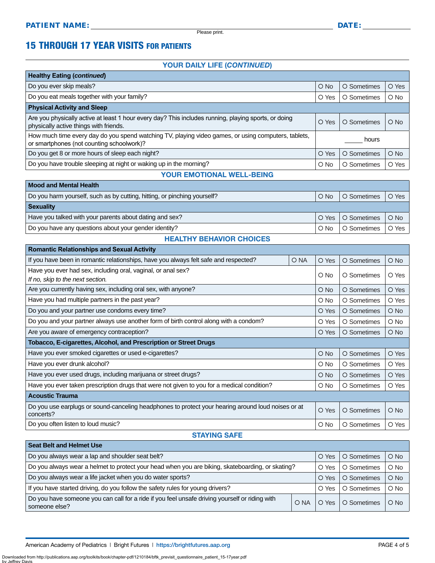$\overline{\phantom{a}}$ 

Please print.

### 15 THROUGH 17 YEAR VISITS FOR PATIENTS

### YOUR DAILY LIFE (*CONTINUED*)

| <b>Healthy Eating (continued)</b>                                                                                                                |               |             |        |
|--------------------------------------------------------------------------------------------------------------------------------------------------|---------------|-------------|--------|
| Do you ever skip meals?                                                                                                                          | $O$ No        | O Sometimes | O Yes  |
| Do you eat meals together with your family?                                                                                                      | O Yes         | O Sometimes | O No   |
| <b>Physical Activity and Sleep</b>                                                                                                               |               |             |        |
| Are you physically active at least 1 hour every day? This includes running, playing sports, or doing<br>physically active things with friends.   | O Yes         | O Sometimes | $O$ No |
| How much time every day do you spend watching TV, playing video games, or using computers, tablets,<br>or smartphones (not counting schoolwork)? | hours         |             |        |
| Do you get 8 or more hours of sleep each night?                                                                                                  | O Yes         | O Sometimes | $O$ No |
| Do you have trouble sleeping at night or waking up in the morning?                                                                               | $\bigcirc$ No | O Sometimes | O Yes  |
| VAUR FUATIOUS USELL                                                                                                                              |               |             |        |

### YOUR EMOTIONAL WELL-BEING

| <b>Mood and Mental Health</b>                                            |               |                     |        |  |
|--------------------------------------------------------------------------|---------------|---------------------|--------|--|
| Do you harm yourself, such as by cutting, hitting, or pinching yourself? | $O$ No        | O Sometimes         | O Yes  |  |
| <b>Sexuality</b>                                                         |               |                     |        |  |
| Have you talked with your parents about dating and sex?                  |               | O Yes   O Sometimes | $O$ No |  |
| Do you have any questions about your gender identity?                    | $\bigcirc$ No | O Sometimes         | O Yes  |  |

#### HEALTHY BEHAVIOR CHOICES

| <b>Romantic Relationships and Sexual Activity</b>                                                               |      |               |             |               |
|-----------------------------------------------------------------------------------------------------------------|------|---------------|-------------|---------------|
| If you have been in romantic relationships, have you always felt safe and respected?                            | O NA | O Yes         | O Sometimes | $\bigcirc$ No |
| Have you ever had sex, including oral, vaginal, or anal sex?                                                    |      | O No          | O Sometimes | O Yes         |
| If no, skip to the next section.                                                                                |      |               |             |               |
| Are you currently having sex, including oral sex, with anyone?                                                  |      | $\bigcirc$ No | O Sometimes | O Yes         |
| Have you had multiple partners in the past year?                                                                |      | $\circ$ No    | O Sometimes | O Yes         |
| Do you and your partner use condoms every time?                                                                 |      | O Yes         | O Sometimes | $\bigcirc$ No |
| Do you and your partner always use another form of birth control along with a condom?                           |      | O Yes         | O Sometimes | $O$ No        |
| Are you aware of emergency contraception?                                                                       |      | O Yes         | O Sometimes | $O$ No        |
| <b>Tobacco, E-cigarettes, Alcohol, and Prescription or Street Drugs</b>                                         |      |               |             |               |
| Have you ever smoked cigarettes or used e-cigarettes?                                                           |      | $O$ No        | O Sometimes | O Yes         |
|                                                                                                                 |      |               |             |               |
| Have you ever drunk alcohol?                                                                                    |      | $\circ$ No    | O Sometimes | O Yes         |
| Have you ever used drugs, including marijuana or street drugs?                                                  |      | $\bigcirc$ No | O Sometimes | O Yes         |
| Have you ever taken prescription drugs that were not given to you for a medical condition?                      |      | $\circ$ No    | O Sometimes | O Yes         |
| <b>Acoustic Trauma</b>                                                                                          |      |               |             |               |
| Do you use earplugs or sound-canceling headphones to protect your hearing around loud noises or at<br>concerts? |      | O Yes         | O Sometimes | $\bigcirc$ No |

### STAYING SAFE

| <b>Seat Belt and Helmet Use</b>                                                                                 |      |       |             |        |
|-----------------------------------------------------------------------------------------------------------------|------|-------|-------------|--------|
| Do you always wear a lap and shoulder seat belt?                                                                |      | O Yes | O Sometimes | $O$ No |
| Do you always wear a helmet to protect your head when you are biking, skateboarding, or skating?                |      | O Yes | O Sometimes | $O$ No |
| Do you always wear a life jacket when you do water sports?                                                      |      | O Yes | O Sometimes | $O$ No |
| If you have started driving, do you follow the safety rules for young drivers?                                  |      | O Yes | O Sometimes | $O$ No |
| Do you have someone you can call for a ride if you feel unsafe driving yourself or riding with<br>someone else? | O NA | O Yes | O Sometimes | $O$ No |